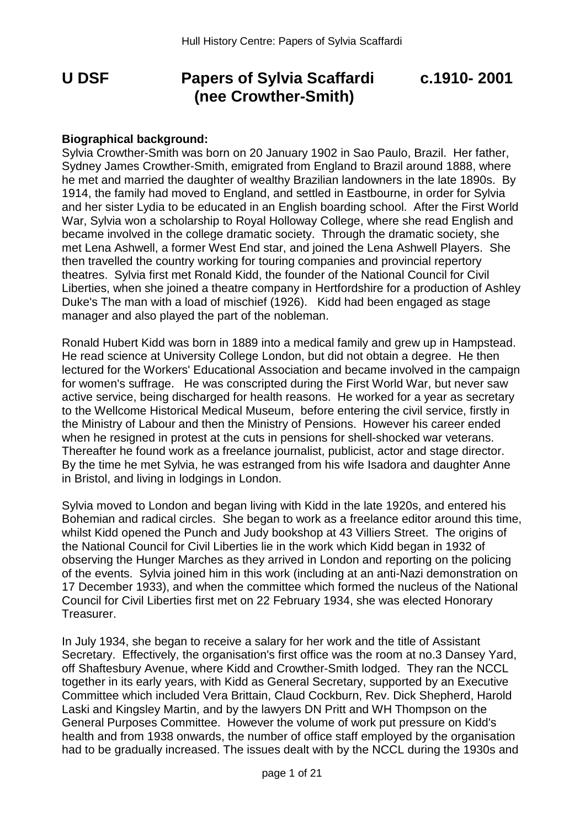# **U DSF Papers of Sylvia Scaffardi c.1910- 2001 (nee Crowther-Smith)**

#### **Biographical background:**

Sylvia Crowther-Smith was born on 20 January 1902 in Sao Paulo, Brazil. Her father, Sydney James Crowther-Smith, emigrated from England to Brazil around 1888, where he met and married the daughter of wealthy Brazilian landowners in the late 1890s. By 1914, the family had moved to England, and settled in Eastbourne, in order for Sylvia and her sister Lydia to be educated in an English boarding school. After the First World War, Sylvia won a scholarship to Royal Holloway College, where she read English and became involved in the college dramatic society. Through the dramatic society, she met Lena Ashwell, a former West End star, and joined the Lena Ashwell Players. She then travelled the country working for touring companies and provincial repertory theatres. Sylvia first met Ronald Kidd, the founder of the National Council for Civil Liberties, when she joined a theatre company in Hertfordshire for a production of Ashley Duke's The man with a load of mischief (1926). Kidd had been engaged as stage manager and also played the part of the nobleman.

Ronald Hubert Kidd was born in 1889 into a medical family and grew up in Hampstead. He read science at University College London, but did not obtain a degree. He then lectured for the Workers' Educational Association and became involved in the campaign for women's suffrage. He was conscripted during the First World War, but never saw active service, being discharged for health reasons. He worked for a year as secretary to the Wellcome Historical Medical Museum, before entering the civil service, firstly in the Ministry of Labour and then the Ministry of Pensions. However his career ended when he resigned in protest at the cuts in pensions for shell-shocked war veterans. Thereafter he found work as a freelance journalist, publicist, actor and stage director. By the time he met Sylvia, he was estranged from his wife Isadora and daughter Anne in Bristol, and living in lodgings in London.

Sylvia moved to London and began living with Kidd in the late 1920s, and entered his Bohemian and radical circles. She began to work as a freelance editor around this time, whilst Kidd opened the Punch and Judy bookshop at 43 Villiers Street. The origins of the National Council for Civil Liberties lie in the work which Kidd began in 1932 of observing the Hunger Marches as they arrived in London and reporting on the policing of the events. Sylvia joined him in this work (including at an anti-Nazi demonstration on 17 December 1933), and when the committee which formed the nucleus of the National Council for Civil Liberties first met on 22 February 1934, she was elected Honorary Treasurer.

In July 1934, she began to receive a salary for her work and the title of Assistant Secretary. Effectively, the organisation's first office was the room at no.3 Dansey Yard, off Shaftesbury Avenue, where Kidd and Crowther-Smith lodged. They ran the NCCL together in its early years, with Kidd as General Secretary, supported by an Executive Committee which included Vera Brittain, Claud Cockburn, Rev. Dick Shepherd, Harold Laski and Kingsley Martin, and by the lawyers DN Pritt and WH Thompson on the General Purposes Committee. However the volume of work put pressure on Kidd's health and from 1938 onwards, the number of office staff employed by the organisation had to be gradually increased. The issues dealt with by the NCCL during the 1930s and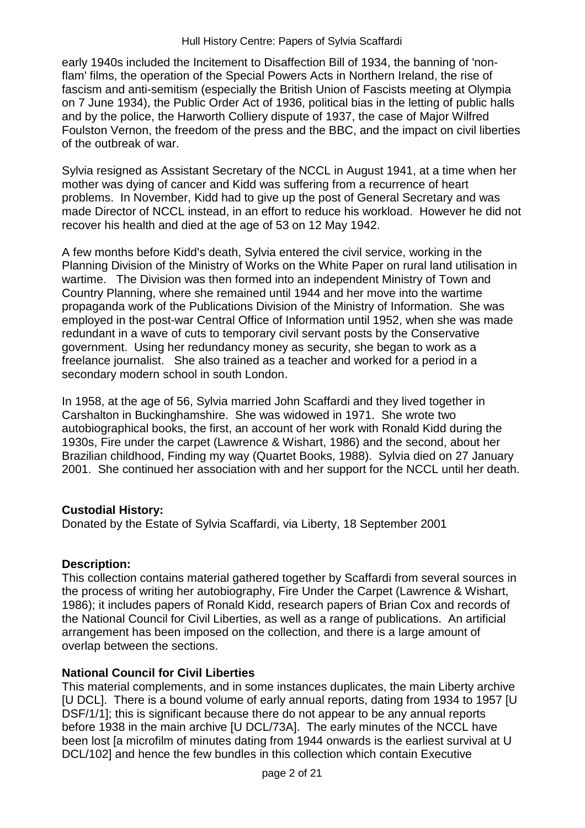early 1940s included the Incitement to Disaffection Bill of 1934, the banning of 'nonflam' films, the operation of the Special Powers Acts in Northern Ireland, the rise of fascism and anti-semitism (especially the British Union of Fascists meeting at Olympia on 7 June 1934), the Public Order Act of 1936, political bias in the letting of public halls and by the police, the Harworth Colliery dispute of 1937, the case of Major Wilfred Foulston Vernon, the freedom of the press and the BBC, and the impact on civil liberties of the outbreak of war.

Sylvia resigned as Assistant Secretary of the NCCL in August 1941, at a time when her mother was dying of cancer and Kidd was suffering from a recurrence of heart problems. In November, Kidd had to give up the post of General Secretary and was made Director of NCCL instead, in an effort to reduce his workload. However he did not recover his health and died at the age of 53 on 12 May 1942.

A few months before Kidd's death, Sylvia entered the civil service, working in the Planning Division of the Ministry of Works on the White Paper on rural land utilisation in wartime. The Division was then formed into an independent Ministry of Town and Country Planning, where she remained until 1944 and her move into the wartime propaganda work of the Publications Division of the Ministry of Information. She was employed in the post-war Central Office of Information until 1952, when she was made redundant in a wave of cuts to temporary civil servant posts by the Conservative government. Using her redundancy money as security, she began to work as a freelance journalist. She also trained as a teacher and worked for a period in a secondary modern school in south London.

In 1958, at the age of 56, Sylvia married John Scaffardi and they lived together in Carshalton in Buckinghamshire. She was widowed in 1971. She wrote two autobiographical books, the first, an account of her work with Ronald Kidd during the 1930s, Fire under the carpet (Lawrence & Wishart, 1986) and the second, about her Brazilian childhood, Finding my way (Quartet Books, 1988). Sylvia died on 27 January 2001. She continued her association with and her support for the NCCL until her death.

## **Custodial History:**

Donated by the Estate of Sylvia Scaffardi, via Liberty, 18 September 2001

#### **Description:**

This collection contains material gathered together by Scaffardi from several sources in the process of writing her autobiography, Fire Under the Carpet (Lawrence & Wishart, 1986); it includes papers of Ronald Kidd, research papers of Brian Cox and records of the National Council for Civil Liberties, as well as a range of publications. An artificial arrangement has been imposed on the collection, and there is a large amount of overlap between the sections.

## **National Council for Civil Liberties**

This material complements, and in some instances duplicates, the main Liberty archive [U DCL]. There is a bound volume of early annual reports, dating from 1934 to 1957 [U DSF/1/1]; this is significant because there do not appear to be any annual reports before 1938 in the main archive [U DCL/73A]. The early minutes of the NCCL have been lost [a microfilm of minutes dating from 1944 onwards is the earliest survival at U DCL/102] and hence the few bundles in this collection which contain Executive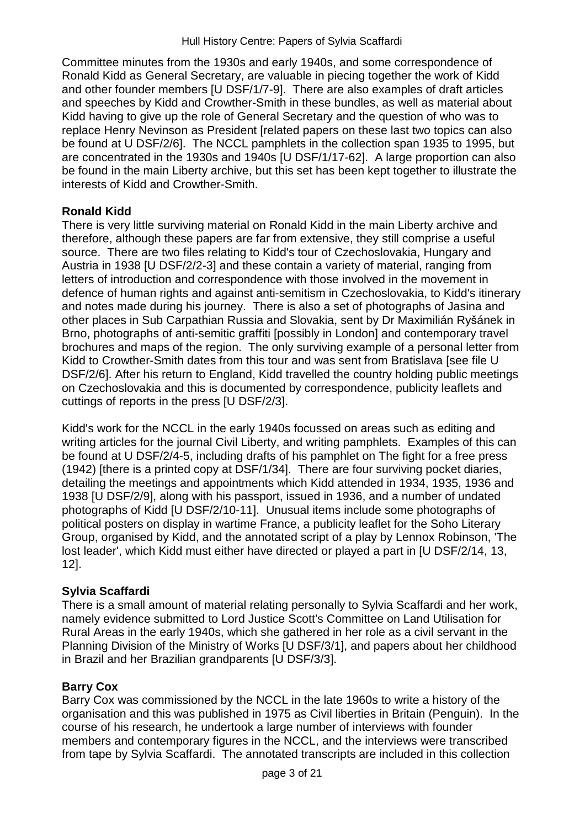Committee minutes from the 1930s and early 1940s, and some correspondence of Ronald Kidd as General Secretary, are valuable in piecing together the work of Kidd and other founder members [U DSF/1/7-9]. There are also examples of draft articles and speeches by Kidd and Crowther-Smith in these bundles, as well as material about Kidd having to give up the role of General Secretary and the question of who was to replace Henry Nevinson as President [related papers on these last two topics can also be found at U DSF/2/6]. The NCCL pamphlets in the collection span 1935 to 1995, but are concentrated in the 1930s and 1940s [U DSF/1/17-62]. A large proportion can also be found in the main Liberty archive, but this set has been kept together to illustrate the interests of Kidd and Crowther-Smith.

## **Ronald Kidd**

There is very little surviving material on Ronald Kidd in the main Liberty archive and therefore, although these papers are far from extensive, they still comprise a useful source. There are two files relating to Kidd's tour of Czechoslovakia, Hungary and Austria in 1938 [U DSF/2/2-3] and these contain a variety of material, ranging from letters of introduction and correspondence with those involved in the movement in defence of human rights and against anti-semitism in Czechoslovakia, to Kidd's itinerary and notes made during his journey. There is also a set of photographs of Jasina and other places in Sub Carpathian Russia and Slovakia, sent by Dr Maximilián Ryšánek in Brno, photographs of anti-semitic graffiti [possibly in London] and contemporary travel brochures and maps of the region. The only surviving example of a personal letter from Kidd to Crowther-Smith dates from this tour and was sent from Bratislava [see file U DSF/2/6]. After his return to England, Kidd travelled the country holding public meetings on Czechoslovakia and this is documented by correspondence, publicity leaflets and cuttings of reports in the press [U DSF/2/3].

Kidd's work for the NCCL in the early 1940s focussed on areas such as editing and writing articles for the journal Civil Liberty, and writing pamphlets. Examples of this can be found at U DSF/2/4-5, including drafts of his pamphlet on The fight for a free press (1942) [there is a printed copy at DSF/1/34]. There are four surviving pocket diaries, detailing the meetings and appointments which Kidd attended in 1934, 1935, 1936 and 1938 [U DSF/2/9], along with his passport, issued in 1936, and a number of undated photographs of Kidd [U DSF/2/10-11]. Unusual items include some photographs of political posters on display in wartime France, a publicity leaflet for the Soho Literary Group, organised by Kidd, and the annotated script of a play by Lennox Robinson, 'The lost leader', which Kidd must either have directed or played a part in [U DSF/2/14, 13, 12].

## **Sylvia Scaffardi**

There is a small amount of material relating personally to Sylvia Scaffardi and her work, namely evidence submitted to Lord Justice Scott's Committee on Land Utilisation for Rural Areas in the early 1940s, which she gathered in her role as a civil servant in the Planning Division of the Ministry of Works [U DSF/3/1], and papers about her childhood in Brazil and her Brazilian grandparents [U DSF/3/3].

## **Barry Cox**

Barry Cox was commissioned by the NCCL in the late 1960s to write a history of the organisation and this was published in 1975 as Civil liberties in Britain (Penguin). In the course of his research, he undertook a large number of interviews with founder members and contemporary figures in the NCCL, and the interviews were transcribed from tape by Sylvia Scaffardi. The annotated transcripts are included in this collection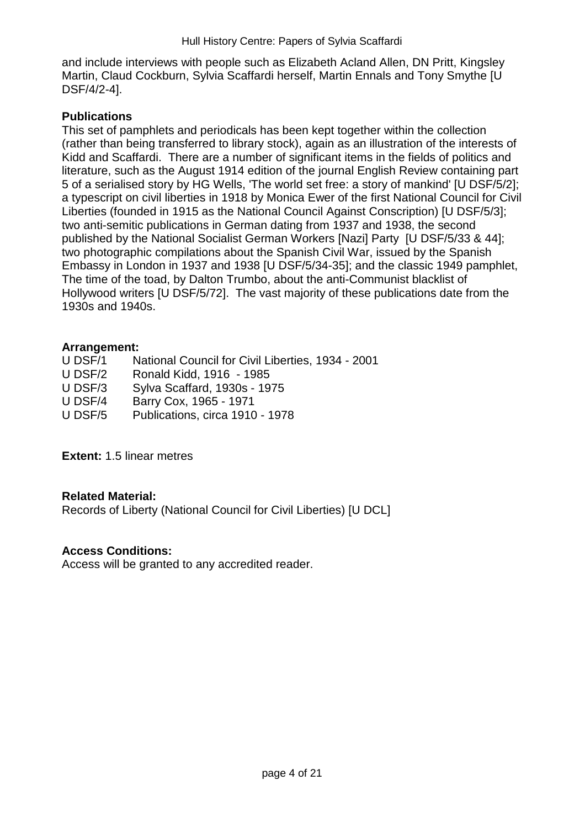and include interviews with people such as Elizabeth Acland Allen, DN Pritt, Kingsley Martin, Claud Cockburn, Sylvia Scaffardi herself, Martin Ennals and Tony Smythe [U DSF/4/2-4].

## **Publications**

This set of pamphlets and periodicals has been kept together within the collection (rather than being transferred to library stock), again as an illustration of the interests of Kidd and Scaffardi. There are a number of significant items in the fields of politics and literature, such as the August 1914 edition of the journal English Review containing part 5 of a serialised story by HG Wells, 'The world set free: a story of mankind' [U DSF/5/2]; a typescript on civil liberties in 1918 by Monica Ewer of the first National Council for Civil Liberties (founded in 1915 as the National Council Against Conscription) [U DSF/5/3]; two anti-semitic publications in German dating from 1937 and 1938, the second published by the National Socialist German Workers [Nazi] Party [U DSF/5/33 & 44]; two photographic compilations about the Spanish Civil War, issued by the Spanish Embassy in London in 1937 and 1938 [U DSF/5/34-35]; and the classic 1949 pamphlet, The time of the toad, by Dalton Trumbo, about the anti-Communist blacklist of Hollywood writers [U DSF/5/72]. The vast majority of these publications date from the 1930s and 1940s.

#### **Arrangement:**

| National Council for Civil Liberties, 1934 - 2001 |
|---------------------------------------------------|
| Ronald Kidd, 1916 - 1985                          |
| Sylva Scaffard, 1930s - 1975                      |
| Barry Cox, 1965 - 1971                            |
| Publications, circa 1910 - 1978                   |
|                                                   |

**Extent:** 1.5 linear metres

## **Related Material:**

Records of Liberty (National Council for Civil Liberties) [U DCL]

## **Access Conditions:**

Access will be granted to any accredited reader.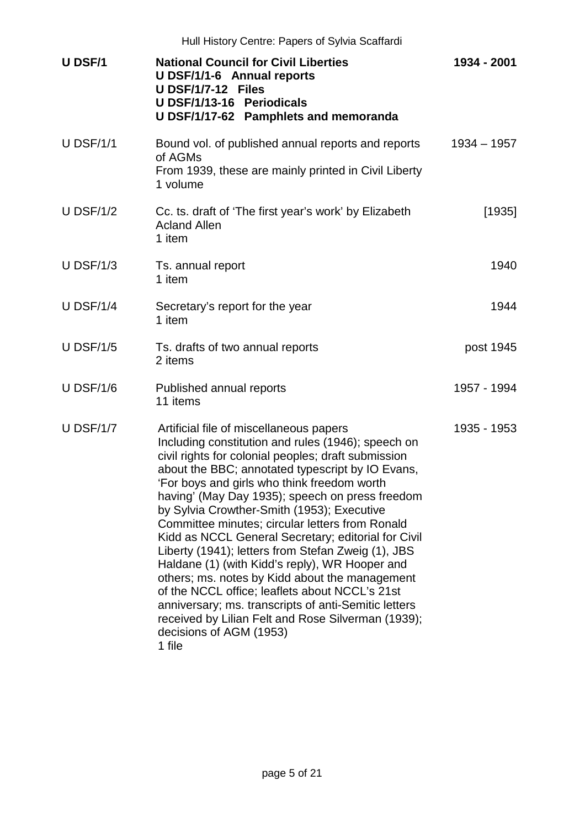|                  | Hull History Centre: Papers of Sylvia Scaffardi                                                                                                                                                                                                                                                                                                                                                                                                                                                                                                                                                                                                                                                                                                                                                                                   |               |
|------------------|-----------------------------------------------------------------------------------------------------------------------------------------------------------------------------------------------------------------------------------------------------------------------------------------------------------------------------------------------------------------------------------------------------------------------------------------------------------------------------------------------------------------------------------------------------------------------------------------------------------------------------------------------------------------------------------------------------------------------------------------------------------------------------------------------------------------------------------|---------------|
| <b>U DSF/1</b>   | <b>National Council for Civil Liberties</b><br>U DSF/1/1-6 Annual reports<br>U DSF/1/7-12 Files<br>U DSF/1/13-16 Periodicals<br>U DSF/1/17-62 Pamphlets and memoranda                                                                                                                                                                                                                                                                                                                                                                                                                                                                                                                                                                                                                                                             | 1934 - 2001   |
| <b>U DSF/1/1</b> | Bound vol. of published annual reports and reports<br>of AGMs<br>From 1939, these are mainly printed in Civil Liberty<br>1 volume                                                                                                                                                                                                                                                                                                                                                                                                                                                                                                                                                                                                                                                                                                 | $1934 - 1957$ |
| $U$ DSF/1/2      | Cc. ts. draft of 'The first year's work' by Elizabeth<br><b>Acland Allen</b><br>1 item                                                                                                                                                                                                                                                                                                                                                                                                                                                                                                                                                                                                                                                                                                                                            | [1935]        |
| $U$ DSF/1/3      | Ts. annual report<br>1 item                                                                                                                                                                                                                                                                                                                                                                                                                                                                                                                                                                                                                                                                                                                                                                                                       | 1940          |
| <b>U DSF/1/4</b> | Secretary's report for the year<br>1 item                                                                                                                                                                                                                                                                                                                                                                                                                                                                                                                                                                                                                                                                                                                                                                                         | 1944          |
| <b>U DSF/1/5</b> | Ts. drafts of two annual reports<br>2 items                                                                                                                                                                                                                                                                                                                                                                                                                                                                                                                                                                                                                                                                                                                                                                                       | post 1945     |
| <b>U DSF/1/6</b> | Published annual reports<br>11 items                                                                                                                                                                                                                                                                                                                                                                                                                                                                                                                                                                                                                                                                                                                                                                                              | 1957 - 1994   |
| <b>U DSF/1/7</b> | Artificial file of miscellaneous papers<br>Including constitution and rules (1946); speech on<br>civil rights for colonial peoples; draft submission<br>about the BBC; annotated typescript by IO Evans,<br>'For boys and girls who think freedom worth<br>having' (May Day 1935); speech on press freedom<br>by Sylvia Crowther-Smith (1953); Executive<br>Committee minutes; circular letters from Ronald<br>Kidd as NCCL General Secretary; editorial for Civil<br>Liberty (1941); letters from Stefan Zweig (1), JBS<br>Haldane (1) (with Kidd's reply), WR Hooper and<br>others; ms. notes by Kidd about the management<br>of the NCCL office; leaflets about NCCL's 21st<br>anniversary; ms. transcripts of anti-Semitic letters<br>received by Lilian Felt and Rose Silverman (1939);<br>decisions of AGM (1953)<br>1 file | 1935 - 1953   |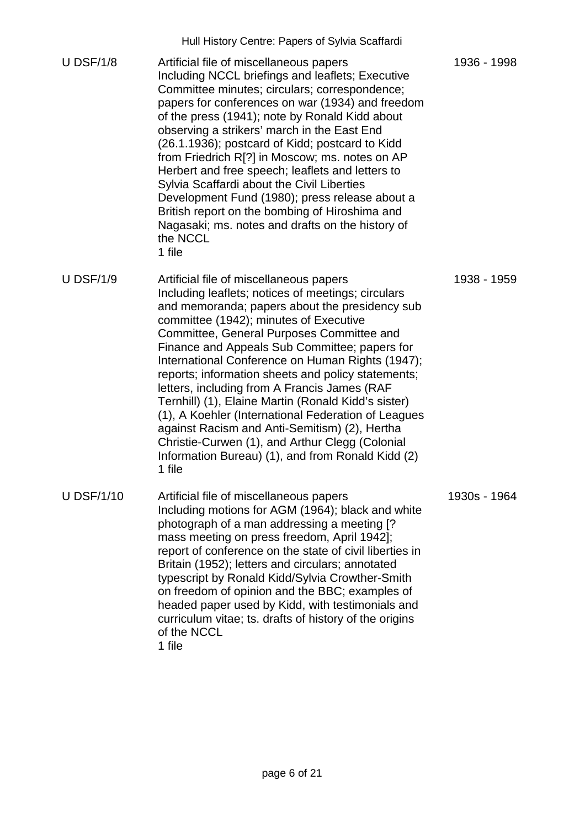|                   | <u>Hail Hotoly Ochtrc. Fapels of Oylvia Ocaliarum</u>                                                                                                                                                                                                                                                                                                                                                                                                                                                                                                                                                                                                                                                                              |              |
|-------------------|------------------------------------------------------------------------------------------------------------------------------------------------------------------------------------------------------------------------------------------------------------------------------------------------------------------------------------------------------------------------------------------------------------------------------------------------------------------------------------------------------------------------------------------------------------------------------------------------------------------------------------------------------------------------------------------------------------------------------------|--------------|
| <b>U DSF/1/8</b>  | Artificial file of miscellaneous papers<br>Including NCCL briefings and leaflets; Executive<br>Committee minutes; circulars; correspondence;<br>papers for conferences on war (1934) and freedom<br>of the press (1941); note by Ronald Kidd about<br>observing a strikers' march in the East End<br>(26.1.1936); postcard of Kidd; postcard to Kidd<br>from Friedrich R[?] in Moscow; ms. notes on AP<br>Herbert and free speech; leaflets and letters to<br>Sylvia Scaffardi about the Civil Liberties<br>Development Fund (1980); press release about a<br>British report on the bombing of Hiroshima and<br>Nagasaki; ms. notes and drafts on the history of<br>the NCCL<br>1 file                                             | 1936 - 1998  |
| <b>U DSF/1/9</b>  | Artificial file of miscellaneous papers<br>Including leaflets; notices of meetings; circulars<br>and memoranda; papers about the presidency sub<br>committee (1942); minutes of Executive<br>Committee, General Purposes Committee and<br>Finance and Appeals Sub Committee; papers for<br>International Conference on Human Rights (1947);<br>reports; information sheets and policy statements;<br>letters, including from A Francis James (RAF<br>Ternhill) (1), Elaine Martin (Ronald Kidd's sister)<br>(1), A Koehler (International Federation of Leagues<br>against Racism and Anti-Semitism) (2), Hertha<br>Christie-Curwen (1), and Arthur Clegg (Colonial<br>Information Bureau) (1), and from Ronald Kidd (2)<br>1 file | 1938 - 1959  |
| <b>U DSF/1/10</b> | Artificial file of miscellaneous papers<br>Including motions for AGM (1964); black and white<br>photograph of a man addressing a meeting [?<br>mass meeting on press freedom, April 1942];<br>report of conference on the state of civil liberties in<br>Britain (1952); letters and circulars; annotated<br>typescript by Ronald Kidd/Sylvia Crowther-Smith<br>on freedom of opinion and the BBC; examples of<br>headed paper used by Kidd, with testimonials and<br>curriculum vitae; ts. drafts of history of the origins<br>of the NCCL<br>1 file                                                                                                                                                                              | 1930s - 1964 |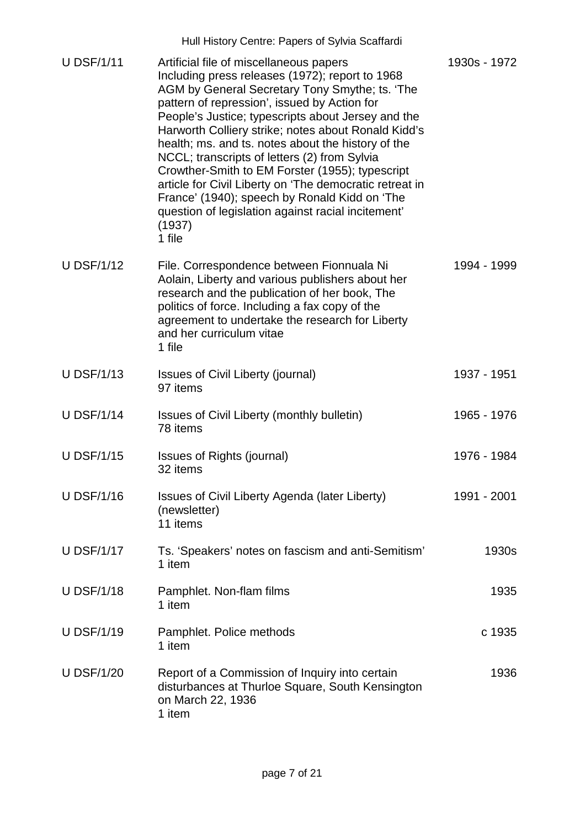| <b>U DSF/1/11</b> | Artificial file of miscellaneous papers<br>Including press releases (1972); report to 1968<br>AGM by General Secretary Tony Smythe; ts. 'The<br>pattern of repression', issued by Action for<br>People's Justice; typescripts about Jersey and the<br>Harworth Colliery strike; notes about Ronald Kidd's<br>health; ms. and ts. notes about the history of the<br>NCCL; transcripts of letters (2) from Sylvia<br>Crowther-Smith to EM Forster (1955); typescript<br>article for Civil Liberty on 'The democratic retreat in<br>France' (1940); speech by Ronald Kidd on 'The<br>question of legislation against racial incitement'<br>(1937)<br>1 file | 1930s - 1972 |
|-------------------|----------------------------------------------------------------------------------------------------------------------------------------------------------------------------------------------------------------------------------------------------------------------------------------------------------------------------------------------------------------------------------------------------------------------------------------------------------------------------------------------------------------------------------------------------------------------------------------------------------------------------------------------------------|--------------|
| <b>U DSF/1/12</b> | File. Correspondence between Fionnuala Ni<br>Aolain, Liberty and various publishers about her<br>research and the publication of her book, The<br>politics of force. Including a fax copy of the<br>agreement to undertake the research for Liberty<br>and her curriculum vitae<br>1 file                                                                                                                                                                                                                                                                                                                                                                | 1994 - 1999  |
| <b>U DSF/1/13</b> | <b>Issues of Civil Liberty (journal)</b><br>97 items                                                                                                                                                                                                                                                                                                                                                                                                                                                                                                                                                                                                     | 1937 - 1951  |
| <b>U DSF/1/14</b> | Issues of Civil Liberty (monthly bulletin)<br>78 items                                                                                                                                                                                                                                                                                                                                                                                                                                                                                                                                                                                                   | 1965 - 1976  |
| <b>U DSF/1/15</b> | <b>Issues of Rights (journal)</b><br>32 items                                                                                                                                                                                                                                                                                                                                                                                                                                                                                                                                                                                                            | 1976 - 1984  |
| <b>U DSF/1/16</b> | Issues of Civil Liberty Agenda (later Liberty)<br>(newsletter)<br>11 items                                                                                                                                                                                                                                                                                                                                                                                                                                                                                                                                                                               | 1991 - 2001  |
| <b>U DSF/1/17</b> | Ts. 'Speakers' notes on fascism and anti-Semitism'<br>1 item                                                                                                                                                                                                                                                                                                                                                                                                                                                                                                                                                                                             | 1930s        |
| <b>U DSF/1/18</b> | Pamphlet. Non-flam films<br>1 item                                                                                                                                                                                                                                                                                                                                                                                                                                                                                                                                                                                                                       | 1935         |
| <b>U DSF/1/19</b> | Pamphlet. Police methods<br>1 item                                                                                                                                                                                                                                                                                                                                                                                                                                                                                                                                                                                                                       | c 1935       |
| <b>U DSF/1/20</b> | Report of a Commission of Inquiry into certain<br>disturbances at Thurloe Square, South Kensington<br>on March 22, 1936<br>1 item                                                                                                                                                                                                                                                                                                                                                                                                                                                                                                                        | 1936         |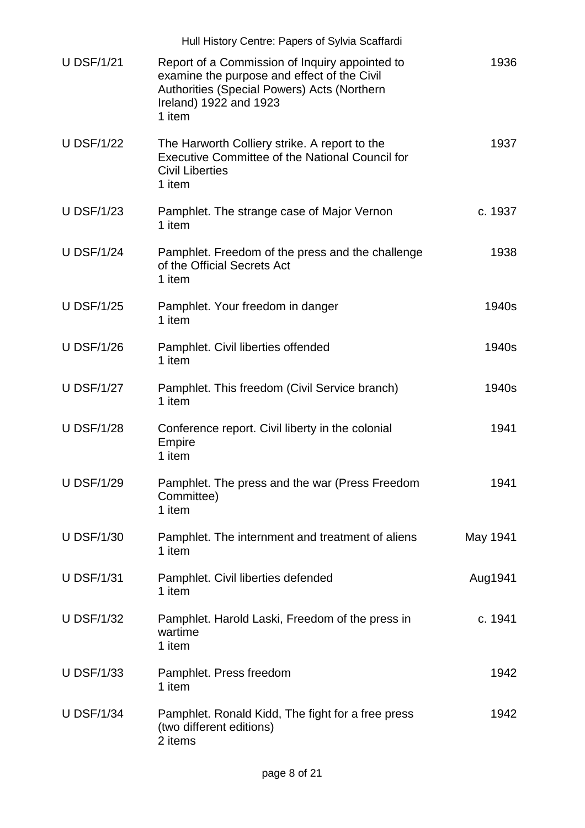|                   | Hull History Centre: Papers of Sylvia Scaffardi                                                                                                                                  |          |
|-------------------|----------------------------------------------------------------------------------------------------------------------------------------------------------------------------------|----------|
| <b>U DSF/1/21</b> | Report of a Commission of Inquiry appointed to<br>examine the purpose and effect of the Civil<br>Authorities (Special Powers) Acts (Northern<br>Ireland) 1922 and 1923<br>1 item | 1936     |
| <b>U DSF/1/22</b> | The Harworth Colliery strike. A report to the<br><b>Executive Committee of the National Council for</b><br><b>Civil Liberties</b><br>1 item                                      | 1937     |
| <b>U DSF/1/23</b> | Pamphlet. The strange case of Major Vernon<br>1 item                                                                                                                             | c. 1937  |
| <b>U DSF/1/24</b> | Pamphlet. Freedom of the press and the challenge<br>of the Official Secrets Act<br>1 item                                                                                        | 1938     |
| <b>U DSF/1/25</b> | Pamphlet. Your freedom in danger<br>1 item                                                                                                                                       | 1940s    |
| <b>U DSF/1/26</b> | Pamphlet. Civil liberties offended<br>1 item                                                                                                                                     | 1940s    |
| <b>U DSF/1/27</b> | Pamphlet. This freedom (Civil Service branch)<br>1 item                                                                                                                          | 1940s    |
| <b>U DSF/1/28</b> | Conference report. Civil liberty in the colonial<br><b>Empire</b><br>1 item                                                                                                      | 1941     |
| <b>U DSF/1/29</b> | Pamphlet. The press and the war (Press Freedom<br>Committee)<br>1 item                                                                                                           | 1941     |
| <b>U DSF/1/30</b> | Pamphlet. The internment and treatment of aliens<br>1 item                                                                                                                       | May 1941 |
| <b>U DSF/1/31</b> | Pamphlet. Civil liberties defended<br>1 item                                                                                                                                     | Aug1941  |
| <b>U DSF/1/32</b> | Pamphlet. Harold Laski, Freedom of the press in<br>wartime<br>1 item                                                                                                             | c. 1941  |
| <b>U DSF/1/33</b> | Pamphlet. Press freedom<br>1 item                                                                                                                                                | 1942     |
| <b>U DSF/1/34</b> | Pamphlet. Ronald Kidd, The fight for a free press<br>(two different editions)<br>2 items                                                                                         | 1942     |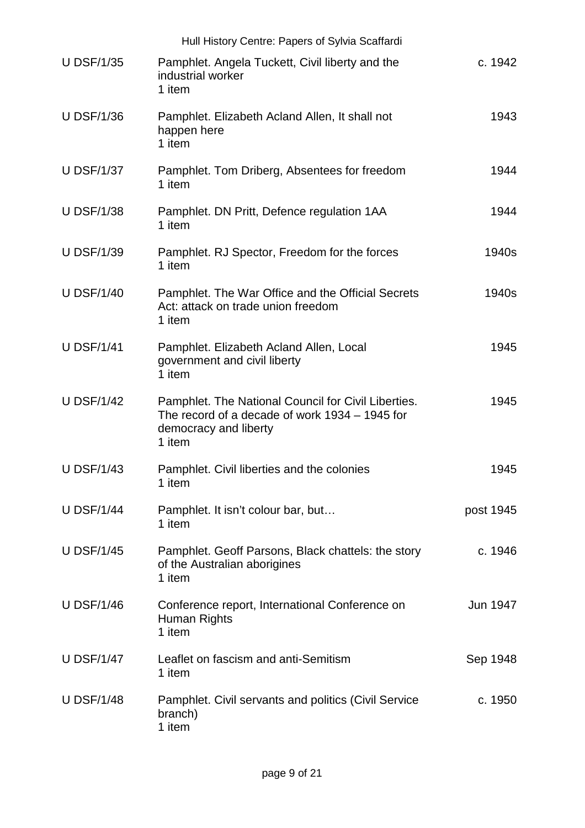|                   | Hull History Centre: Papers of Sylvia Scaffardi                                                                                          |           |
|-------------------|------------------------------------------------------------------------------------------------------------------------------------------|-----------|
| <b>U DSF/1/35</b> | Pamphlet. Angela Tuckett, Civil liberty and the<br>industrial worker<br>1 item                                                           | c. 1942   |
| <b>U DSF/1/36</b> | Pamphlet. Elizabeth Acland Allen, It shall not<br>happen here<br>1 item                                                                  | 1943      |
| <b>U DSF/1/37</b> | Pamphlet. Tom Driberg, Absentees for freedom<br>1 item                                                                                   | 1944      |
| <b>U DSF/1/38</b> | Pamphlet. DN Pritt, Defence regulation 1AA<br>1 item                                                                                     | 1944      |
| <b>U DSF/1/39</b> | Pamphlet. RJ Spector, Freedom for the forces<br>1 item                                                                                   | 1940s     |
| <b>U DSF/1/40</b> | Pamphlet. The War Office and the Official Secrets<br>Act: attack on trade union freedom<br>1 item                                        | 1940s     |
| <b>U DSF/1/41</b> | Pamphlet. Elizabeth Acland Allen, Local<br>government and civil liberty<br>1 item                                                        | 1945      |
| <b>U DSF/1/42</b> | Pamphlet. The National Council for Civil Liberties.<br>The record of a decade of work 1934 - 1945 for<br>democracy and liberty<br>1 item | 1945      |
| <b>U DSF/1/43</b> | Pamphlet. Civil liberties and the colonies<br>1 item                                                                                     | 1945      |
| <b>U DSF/1/44</b> | Pamphlet. It isn't colour bar, but<br>1 item                                                                                             | post 1945 |
| <b>U DSF/1/45</b> | Pamphlet. Geoff Parsons, Black chattels: the story<br>of the Australian aborigines<br>1 item                                             | c. 1946   |
| <b>U DSF/1/46</b> | Conference report, International Conference on<br>Human Rights<br>1 item                                                                 | Jun 1947  |
| <b>U DSF/1/47</b> | Leaflet on fascism and anti-Semitism<br>1 item                                                                                           | Sep 1948  |
| <b>U DSF/1/48</b> | Pamphlet. Civil servants and politics (Civil Service<br>branch)<br>1 item                                                                | c. 1950   |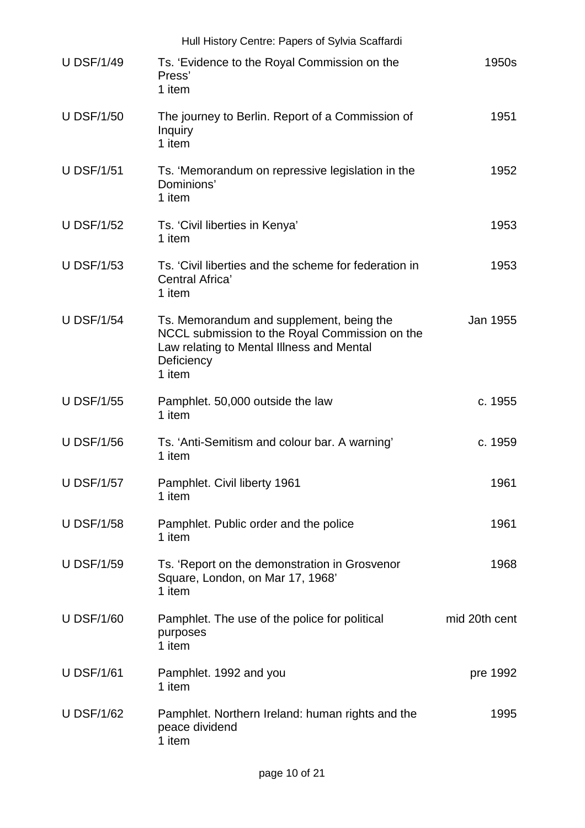|                   | Hull History Centre: Papers of Sylvia Scaffardi                                                                                                                 |               |
|-------------------|-----------------------------------------------------------------------------------------------------------------------------------------------------------------|---------------|
| <b>U DSF/1/49</b> | Ts. 'Evidence to the Royal Commission on the<br>Press'<br>1 item                                                                                                | 1950s         |
| <b>U DSF/1/50</b> | The journey to Berlin. Report of a Commission of<br>Inquiry<br>1 item                                                                                           | 1951          |
| <b>U DSF/1/51</b> | Ts. 'Memorandum on repressive legislation in the<br>Dominions'<br>1 item                                                                                        | 1952          |
| <b>U DSF/1/52</b> | Ts. 'Civil liberties in Kenya'<br>1 item                                                                                                                        | 1953          |
| <b>U DSF/1/53</b> | Ts. 'Civil liberties and the scheme for federation in<br>Central Africa'<br>1 item                                                                              | 1953          |
| <b>U DSF/1/54</b> | Ts. Memorandum and supplement, being the<br>NCCL submission to the Royal Commission on the<br>Law relating to Mental Illness and Mental<br>Deficiency<br>1 item | Jan 1955      |
| <b>U DSF/1/55</b> | Pamphlet. 50,000 outside the law<br>1 item                                                                                                                      | c. 1955       |
| <b>U DSF/1/56</b> | Ts. 'Anti-Semitism and colour bar. A warning'<br>1 item                                                                                                         | c. 1959       |
| <b>U DSF/1/57</b> | Pamphlet. Civil liberty 1961<br>1 item                                                                                                                          | 1961          |
| <b>U DSF/1/58</b> | Pamphlet. Public order and the police<br>1 item                                                                                                                 | 1961          |
| <b>U DSF/1/59</b> | Ts. 'Report on the demonstration in Grosvenor<br>Square, London, on Mar 17, 1968'<br>1 item                                                                     | 1968          |
| <b>U DSF/1/60</b> | Pamphlet. The use of the police for political<br>purposes<br>1 item                                                                                             | mid 20th cent |
| <b>U DSF/1/61</b> | Pamphlet. 1992 and you<br>1 item                                                                                                                                | pre 1992      |
| <b>U DSF/1/62</b> | Pamphlet. Northern Ireland: human rights and the<br>peace dividend<br>1 item                                                                                    | 1995          |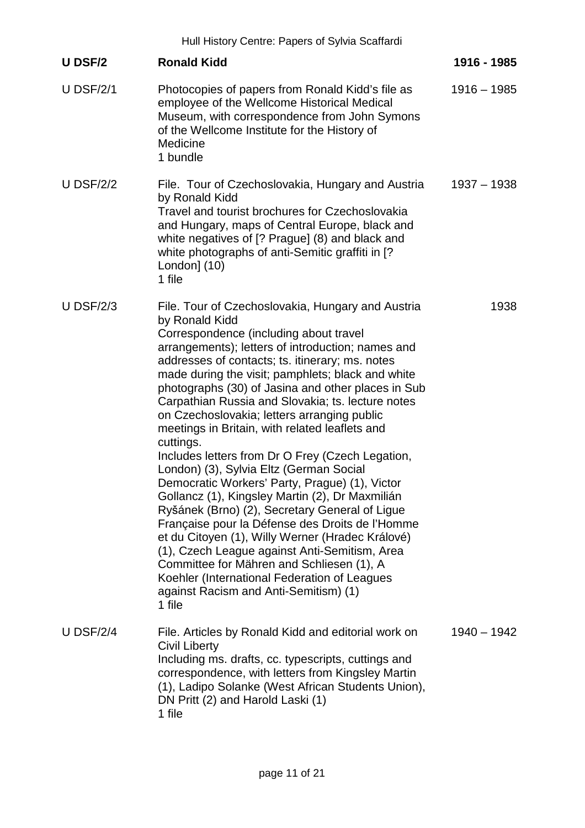|                  | Hull History Centre: Papers of Sylvia Scaffardi                                                                                                                                                                                                                                                                                                                                                                                                                                                                                                                                                                                                                                                                                                                                                                                                                                                                                                                                                                                                                   |               |
|------------------|-------------------------------------------------------------------------------------------------------------------------------------------------------------------------------------------------------------------------------------------------------------------------------------------------------------------------------------------------------------------------------------------------------------------------------------------------------------------------------------------------------------------------------------------------------------------------------------------------------------------------------------------------------------------------------------------------------------------------------------------------------------------------------------------------------------------------------------------------------------------------------------------------------------------------------------------------------------------------------------------------------------------------------------------------------------------|---------------|
| <b>U DSF/2</b>   | <b>Ronald Kidd</b>                                                                                                                                                                                                                                                                                                                                                                                                                                                                                                                                                                                                                                                                                                                                                                                                                                                                                                                                                                                                                                                | 1916 - 1985   |
| <b>U DSF/2/1</b> | Photocopies of papers from Ronald Kidd's file as<br>employee of the Wellcome Historical Medical<br>Museum, with correspondence from John Symons<br>of the Wellcome Institute for the History of<br>Medicine<br>1 bundle                                                                                                                                                                                                                                                                                                                                                                                                                                                                                                                                                                                                                                                                                                                                                                                                                                           | $1916 - 1985$ |
| <b>U DSF/2/2</b> | File. Tour of Czechoslovakia, Hungary and Austria<br>by Ronald Kidd<br>Travel and tourist brochures for Czechoslovakia<br>and Hungary, maps of Central Europe, black and<br>white negatives of [? Prague] (8) and black and<br>white photographs of anti-Semitic graffiti in [?<br>London] (10)<br>1 file                                                                                                                                                                                                                                                                                                                                                                                                                                                                                                                                                                                                                                                                                                                                                         | $1937 - 1938$ |
| <b>U DSF/2/3</b> | File. Tour of Czechoslovakia, Hungary and Austria<br>by Ronald Kidd<br>Correspondence (including about travel<br>arrangements); letters of introduction; names and<br>addresses of contacts; ts. itinerary; ms. notes<br>made during the visit; pamphlets; black and white<br>photographs (30) of Jasina and other places in Sub<br>Carpathian Russia and Slovakia; ts. lecture notes<br>on Czechoslovakia; letters arranging public<br>meetings in Britain, with related leaflets and<br>cuttings.<br>Includes letters from Dr O Frey (Czech Legation,<br>London) (3), Sylvia Eltz (German Social<br>Democratic Workers' Party, Prague) (1), Victor<br>Gollancz (1), Kingsley Martin (2), Dr Maxmilián<br>Ryšánek (Brno) (2), Secretary General of Ligue<br>Française pour la Défense des Droits de l'Homme<br>et du Citoyen (1), Willy Werner (Hradec Králové)<br>(1), Czech League against Anti-Semitism, Area<br>Committee for Mähren and Schliesen (1), A<br>Koehler (International Federation of Leagues<br>against Racism and Anti-Semitism) (1)<br>1 file | 1938          |
| <b>U DSF/2/4</b> | File. Articles by Ronald Kidd and editorial work on<br><b>Civil Liberty</b><br>Including ms. drafts, cc. typescripts, cuttings and<br>correspondence, with letters from Kingsley Martin<br>(1), Ladipo Solanke (West African Students Union),<br>DN Pritt (2) and Harold Laski (1)<br>1 file                                                                                                                                                                                                                                                                                                                                                                                                                                                                                                                                                                                                                                                                                                                                                                      | $1940 - 1942$ |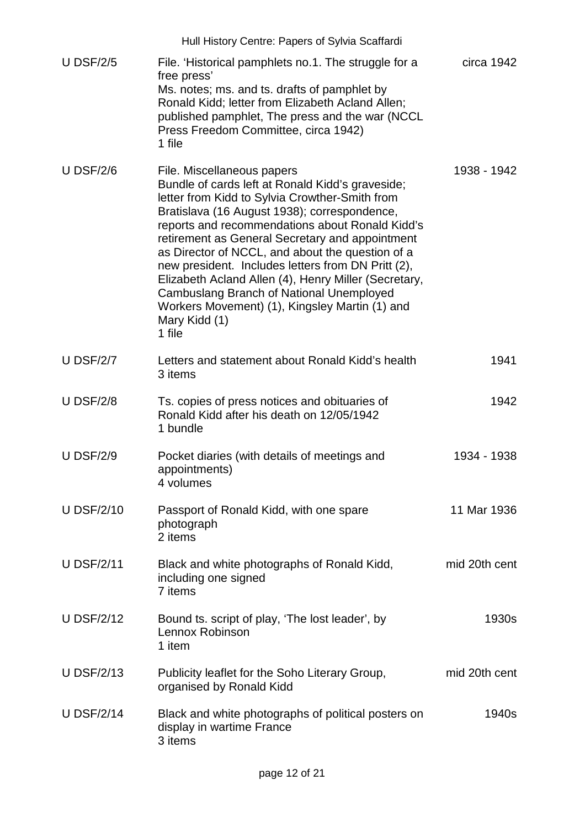|                   | Hull History Centre: Papers of Sylvia Scaffardi                                                                                                                                                                                                                                                                                                                                                                                                                                                                                                                                   |               |
|-------------------|-----------------------------------------------------------------------------------------------------------------------------------------------------------------------------------------------------------------------------------------------------------------------------------------------------------------------------------------------------------------------------------------------------------------------------------------------------------------------------------------------------------------------------------------------------------------------------------|---------------|
| <b>U DSF/2/5</b>  | File. 'Historical pamphlets no.1. The struggle for a<br>free press'<br>Ms. notes; ms. and ts. drafts of pamphlet by<br>Ronald Kidd; letter from Elizabeth Acland Allen;<br>published pamphlet, The press and the war (NCCL                                                                                                                                                                                                                                                                                                                                                        | circa 1942    |
|                   | Press Freedom Committee, circa 1942)<br>1 file                                                                                                                                                                                                                                                                                                                                                                                                                                                                                                                                    |               |
| <b>U DSF/2/6</b>  | File. Miscellaneous papers<br>Bundle of cards left at Ronald Kidd's graveside;<br>letter from Kidd to Sylvia Crowther-Smith from<br>Bratislava (16 August 1938); correspondence,<br>reports and recommendations about Ronald Kidd's<br>retirement as General Secretary and appointment<br>as Director of NCCL, and about the question of a<br>new president. Includes letters from DN Pritt (2),<br>Elizabeth Acland Allen (4), Henry Miller (Secretary,<br>Cambuslang Branch of National Unemployed<br>Workers Movement) (1), Kingsley Martin (1) and<br>Mary Kidd (1)<br>1 file | 1938 - 1942   |
| <b>U DSF/2/7</b>  | Letters and statement about Ronald Kidd's health<br>3 items                                                                                                                                                                                                                                                                                                                                                                                                                                                                                                                       | 1941          |
| <b>U DSF/2/8</b>  | Ts. copies of press notices and obituaries of<br>Ronald Kidd after his death on 12/05/1942<br>1 bundle                                                                                                                                                                                                                                                                                                                                                                                                                                                                            | 1942          |
| <b>U DSF/2/9</b>  | Pocket diaries (with details of meetings and<br>appointments)<br>4 volumes                                                                                                                                                                                                                                                                                                                                                                                                                                                                                                        | 1934 - 1938   |
| <b>U DSF/2/10</b> | Passport of Ronald Kidd, with one spare<br>photograph<br>2 items                                                                                                                                                                                                                                                                                                                                                                                                                                                                                                                  | 11 Mar 1936   |
| <b>U DSF/2/11</b> | Black and white photographs of Ronald Kidd,<br>including one signed<br>7 items                                                                                                                                                                                                                                                                                                                                                                                                                                                                                                    | mid 20th cent |
| <b>U DSF/2/12</b> | Bound ts. script of play, 'The lost leader', by<br>Lennox Robinson<br>1 item                                                                                                                                                                                                                                                                                                                                                                                                                                                                                                      | 1930s         |
| <b>U DSF/2/13</b> | Publicity leaflet for the Soho Literary Group,<br>organised by Ronald Kidd                                                                                                                                                                                                                                                                                                                                                                                                                                                                                                        | mid 20th cent |
| <b>U DSF/2/14</b> | Black and white photographs of political posters on<br>display in wartime France<br>3 items                                                                                                                                                                                                                                                                                                                                                                                                                                                                                       | 1940s         |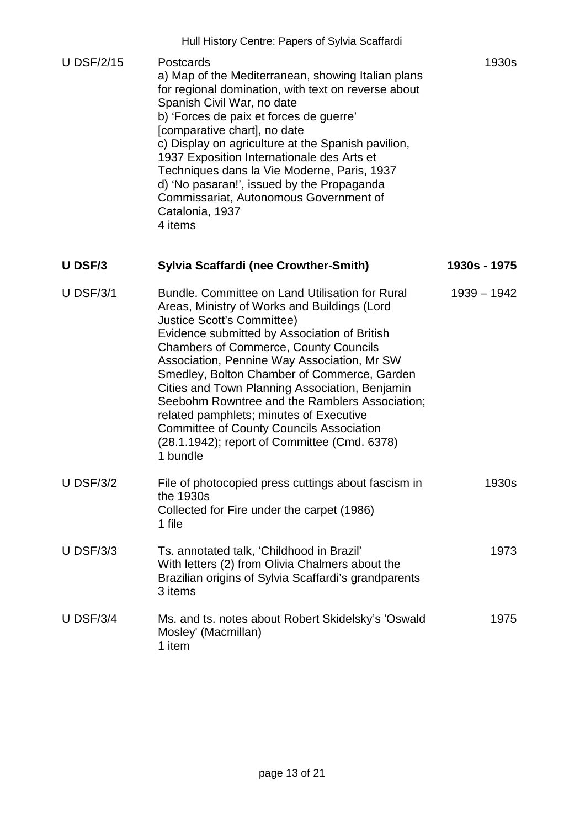| <b>U DSF/2/15</b> | Postcards<br>a) Map of the Mediterranean, showing Italian plans<br>for regional domination, with text on reverse about<br>Spanish Civil War, no date<br>b) 'Forces de paix et forces de guerre'<br>[comparative chart], no date<br>c) Display on agriculture at the Spanish pavilion,<br>1937 Exposition Internationale des Arts et<br>Techniques dans la Vie Moderne, Paris, 1937<br>d) 'No pasaran!', issued by the Propaganda<br>Commissariat, Autonomous Government of<br>Catalonia, 1937<br>4 items | 1930s        |
|-------------------|----------------------------------------------------------------------------------------------------------------------------------------------------------------------------------------------------------------------------------------------------------------------------------------------------------------------------------------------------------------------------------------------------------------------------------------------------------------------------------------------------------|--------------|
| U DSF/3           | <b>Sylvia Scaffardi (nee Crowther-Smith)</b>                                                                                                                                                                                                                                                                                                                                                                                                                                                             | 1930s - 1975 |

| <b>U DSF/3/1</b> | Bundle. Committee on Land Utilisation for Rural<br>Areas, Ministry of Works and Buildings (Lord<br><b>Justice Scott's Committee)</b><br>Evidence submitted by Association of British<br><b>Chambers of Commerce, County Councils</b><br>Association, Pennine Way Association, Mr SW<br>Smedley, Bolton Chamber of Commerce, Garden<br>Cities and Town Planning Association, Benjamin<br>Seebohm Rowntree and the Ramblers Association;<br>related pamphlets; minutes of Executive<br><b>Committee of County Councils Association</b><br>(28.1.1942); report of Committee (Cmd. 6378)<br>1 bundle | $1939 - 1942$ |
|------------------|--------------------------------------------------------------------------------------------------------------------------------------------------------------------------------------------------------------------------------------------------------------------------------------------------------------------------------------------------------------------------------------------------------------------------------------------------------------------------------------------------------------------------------------------------------------------------------------------------|---------------|
| <b>U DSF/3/2</b> | File of photocopied press cuttings about fascism in<br>the 1930s<br>Collected for Fire under the carpet (1986)<br>1 file                                                                                                                                                                                                                                                                                                                                                                                                                                                                         | 1930s         |
| <b>U DSF/3/3</b> | Ts. annotated talk, 'Childhood in Brazil'<br>With letters (2) from Olivia Chalmers about the<br>Brazilian origins of Sylvia Scaffardi's grandparents<br>3 items                                                                                                                                                                                                                                                                                                                                                                                                                                  | 1973          |
| <b>U DSF/3/4</b> | Ms. and ts. notes about Robert Skidelsky's 'Oswald<br>Mosley' (Macmillan)<br>1 item                                                                                                                                                                                                                                                                                                                                                                                                                                                                                                              | 1975          |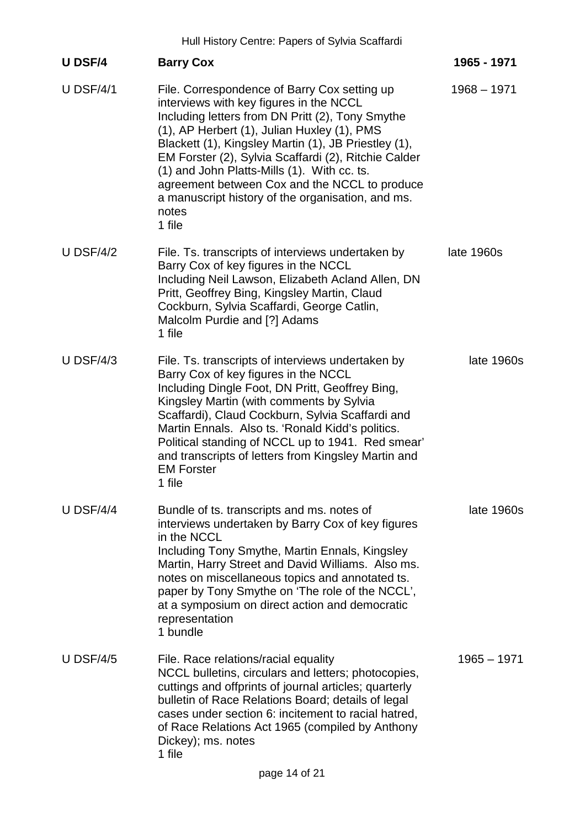|                  | Hull History Centre: Papers of Sylvia Scaffardi                                                                                                                                                                                                                                                                                                                                                                                                                                    |               |
|------------------|------------------------------------------------------------------------------------------------------------------------------------------------------------------------------------------------------------------------------------------------------------------------------------------------------------------------------------------------------------------------------------------------------------------------------------------------------------------------------------|---------------|
| <b>U DSF/4</b>   | <b>Barry Cox</b>                                                                                                                                                                                                                                                                                                                                                                                                                                                                   | 1965 - 1971   |
| U DSF/4/1        | File. Correspondence of Barry Cox setting up<br>interviews with key figures in the NCCL<br>Including letters from DN Pritt (2), Tony Smythe<br>(1), AP Herbert (1), Julian Huxley (1), PMS<br>Blackett (1), Kingsley Martin (1), JB Priestley (1),<br>EM Forster (2), Sylvia Scaffardi (2), Ritchie Calder<br>(1) and John Platts-Mills (1). With cc. ts.<br>agreement between Cox and the NCCL to produce<br>a manuscript history of the organisation, and ms.<br>notes<br>1 file | $1968 - 1971$ |
| U DSF/4/2        | File. Ts. transcripts of interviews undertaken by<br>Barry Cox of key figures in the NCCL<br>Including Neil Lawson, Elizabeth Acland Allen, DN<br>Pritt, Geoffrey Bing, Kingsley Martin, Claud<br>Cockburn, Sylvia Scaffardi, George Catlin,<br>Malcolm Purdie and [?] Adams<br>1 file                                                                                                                                                                                             | late 1960s    |
| $U$ DSF/4/3      | File. Ts. transcripts of interviews undertaken by<br>Barry Cox of key figures in the NCCL<br>Including Dingle Foot, DN Pritt, Geoffrey Bing,<br>Kingsley Martin (with comments by Sylvia<br>Scaffardi), Claud Cockburn, Sylvia Scaffardi and<br>Martin Ennals. Also ts. 'Ronald Kidd's politics.<br>Political standing of NCCL up to 1941. Red smear'<br>and transcripts of letters from Kingsley Martin and<br><b>EM Forster</b><br>1 file                                        | late 1960s    |
| <b>U DSF/4/4</b> | Bundle of ts. transcripts and ms. notes of<br>interviews undertaken by Barry Cox of key figures<br>in the NCCL<br>Including Tony Smythe, Martin Ennals, Kingsley<br>Martin, Harry Street and David Williams. Also ms.<br>notes on miscellaneous topics and annotated ts.<br>paper by Tony Smythe on 'The role of the NCCL',<br>at a symposium on direct action and democratic<br>representation<br>1 bundle                                                                        | late 1960s    |
| <b>U DSF/4/5</b> | File. Race relations/racial equality<br>NCCL bulletins, circulars and letters; photocopies,<br>cuttings and offprints of journal articles; quarterly<br>bulletin of Race Relations Board; details of legal<br>cases under section 6: incitement to racial hatred,<br>of Race Relations Act 1965 (compiled by Anthony<br>Dickey); ms. notes<br>1 file                                                                                                                               | $1965 - 1971$ |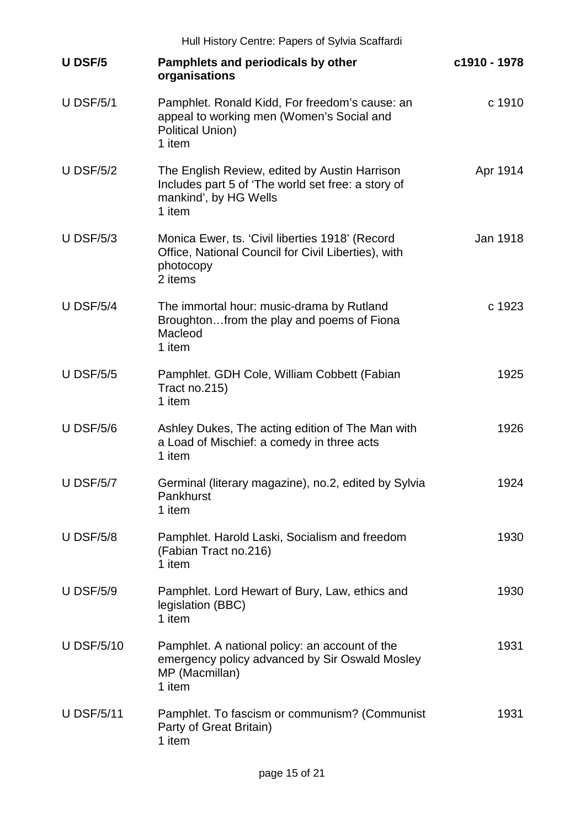| Hull History Centre: Papers of Sylvia Scaffardi |                                                                                                                                        |              |  |
|-------------------------------------------------|----------------------------------------------------------------------------------------------------------------------------------------|--------------|--|
| <b>U DSF/5</b>                                  | Pamphlets and periodicals by other<br>organisations                                                                                    | c1910 - 1978 |  |
| <b>U DSF/5/1</b>                                | Pamphlet. Ronald Kidd, For freedom's cause: an<br>appeal to working men (Women's Social and<br><b>Political Union)</b><br>1 item       | c 1910       |  |
| <b>U DSF/5/2</b>                                | The English Review, edited by Austin Harrison<br>Includes part 5 of 'The world set free: a story of<br>mankind', by HG Wells<br>1 item | Apr 1914     |  |
| U DSF/ $5/3$                                    | Monica Ewer, ts. 'Civil liberties 1918' (Record<br>Office, National Council for Civil Liberties), with<br>photocopy<br>2 items         | Jan 1918     |  |
| <b>U DSF/5/4</b>                                | The immortal hour: music-drama by Rutland<br>Broughtonfrom the play and poems of Fiona<br>Macleod<br>1 item                            | c 1923       |  |
| <b>U DSF/5/5</b>                                | Pamphlet. GDH Cole, William Cobbett (Fabian<br>Tract no.215)<br>1 item                                                                 | 1925         |  |
| <b>U DSF/5/6</b>                                | Ashley Dukes, The acting edition of The Man with<br>a Load of Mischief: a comedy in three acts<br>1 item                               | 1926         |  |
| <b>U DSF/5/7</b>                                | Germinal (literary magazine), no.2, edited by Sylvia<br>Pankhurst<br>1 item                                                            | 1924         |  |
| <b>U DSF/5/8</b>                                | Pamphlet. Harold Laski, Socialism and freedom<br>(Fabian Tract no.216)<br>1 item                                                       | 1930         |  |
| <b>U DSF/5/9</b>                                | Pamphlet. Lord Hewart of Bury, Law, ethics and<br>legislation (BBC)<br>1 item                                                          | 1930         |  |
| <b>U DSF/5/10</b>                               | Pamphlet. A national policy: an account of the<br>emergency policy advanced by Sir Oswald Mosley<br>MP (Macmillan)<br>1 item           | 1931         |  |
| <b>U DSF/5/11</b>                               | Pamphlet. To fascism or communism? (Communist<br>Party of Great Britain)<br>1 item                                                     | 1931         |  |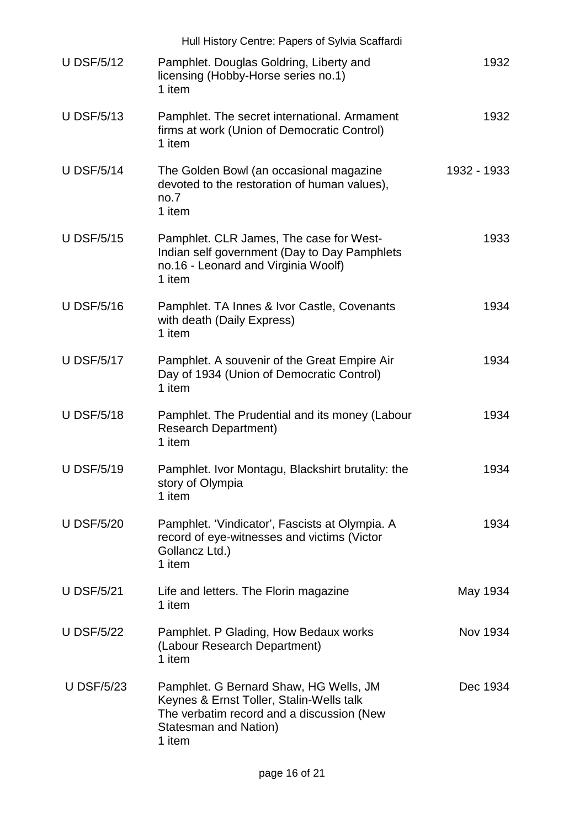|                   | Hull History Centre: Papers of Sylvia Scaffardi                                                                                                                    |             |
|-------------------|--------------------------------------------------------------------------------------------------------------------------------------------------------------------|-------------|
| <b>U DSF/5/12</b> | Pamphlet. Douglas Goldring, Liberty and<br>licensing (Hobby-Horse series no.1)<br>1 item                                                                           | 1932        |
| <b>U DSF/5/13</b> | Pamphlet. The secret international. Armament<br>firms at work (Union of Democratic Control)<br>1 item                                                              | 1932        |
| <b>U DSF/5/14</b> | The Golden Bowl (an occasional magazine<br>devoted to the restoration of human values),<br>no.7<br>1 item                                                          | 1932 - 1933 |
| <b>U DSF/5/15</b> | Pamphlet. CLR James, The case for West-<br>Indian self government (Day to Day Pamphlets<br>no.16 - Leonard and Virginia Woolf)<br>1 item                           | 1933        |
| <b>U DSF/5/16</b> | Pamphlet. TA Innes & Ivor Castle, Covenants<br>with death (Daily Express)<br>1 item                                                                                | 1934        |
| <b>U DSF/5/17</b> | Pamphlet. A souvenir of the Great Empire Air<br>Day of 1934 (Union of Democratic Control)<br>1 item                                                                | 1934        |
| <b>U DSF/5/18</b> | Pamphlet. The Prudential and its money (Labour<br><b>Research Department)</b><br>1 item                                                                            | 1934        |
| <b>U DSF/5/19</b> | Pamphlet. Ivor Montagu, Blackshirt brutality: the<br>story of Olympia<br>1 item                                                                                    | 1934        |
| <b>U DSF/5/20</b> | Pamphlet. 'Vindicator', Fascists at Olympia. A<br>record of eye-witnesses and victims (Victor<br>Gollancz Ltd.)<br>1 item                                          | 1934        |
| <b>U DSF/5/21</b> | Life and letters. The Florin magazine<br>1 item                                                                                                                    | May 1934    |
| <b>U DSF/5/22</b> | Pamphlet. P Glading, How Bedaux works<br>(Labour Research Department)<br>1 item                                                                                    | Nov 1934    |
| <b>U DSF/5/23</b> | Pamphlet. G Bernard Shaw, HG Wells, JM<br>Keynes & Ernst Toller, Stalin-Wells talk<br>The verbatim record and a discussion (New<br>Statesman and Nation)<br>1 item | Dec 1934    |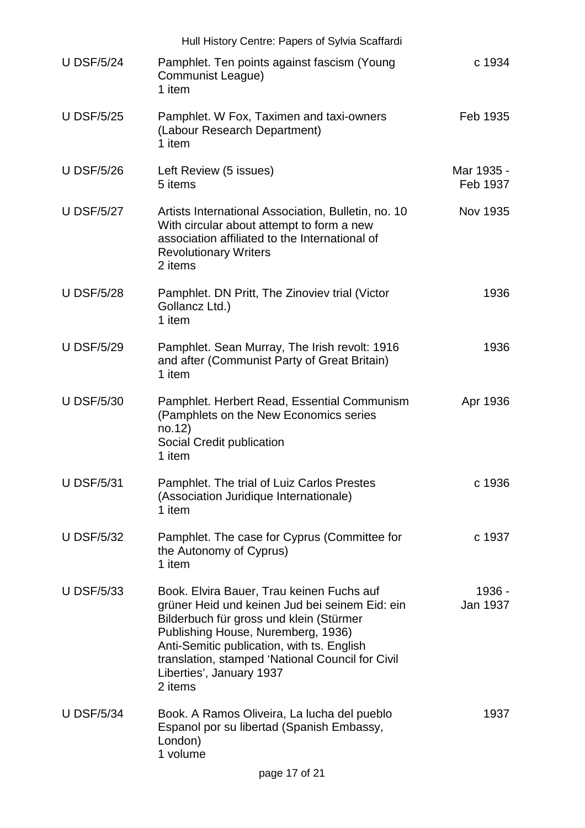| Hull History Centre: Papers of Sylvia Scaffardi |                                                                                                                                                                                                                                                                                                                       |                        |  |
|-------------------------------------------------|-----------------------------------------------------------------------------------------------------------------------------------------------------------------------------------------------------------------------------------------------------------------------------------------------------------------------|------------------------|--|
| <b>U DSF/5/24</b>                               | Pamphlet. Ten points against fascism (Young<br>Communist League)<br>1 item                                                                                                                                                                                                                                            | c 1934                 |  |
| <b>U DSF/5/25</b>                               | Pamphlet. W Fox, Taximen and taxi-owners<br>(Labour Research Department)<br>1 item                                                                                                                                                                                                                                    | Feb 1935               |  |
| <b>U DSF/5/26</b>                               | Left Review (5 issues)<br>5 items                                                                                                                                                                                                                                                                                     | Mar 1935 -<br>Feb 1937 |  |
| <b>U DSF/5/27</b>                               | Artists International Association, Bulletin, no. 10<br>With circular about attempt to form a new<br>association affiliated to the International of<br><b>Revolutionary Writers</b><br>2 items                                                                                                                         | <b>Nov 1935</b>        |  |
| <b>U DSF/5/28</b>                               | Pamphlet. DN Pritt, The Zinoviev trial (Victor<br>Gollancz Ltd.)<br>1 item                                                                                                                                                                                                                                            | 1936                   |  |
| <b>U DSF/5/29</b>                               | Pamphlet. Sean Murray, The Irish revolt: 1916<br>and after (Communist Party of Great Britain)<br>1 item                                                                                                                                                                                                               | 1936                   |  |
| <b>U DSF/5/30</b>                               | Pamphlet. Herbert Read, Essential Communism<br>(Pamphlets on the New Economics series<br>no.12)<br>Social Credit publication<br>1 item                                                                                                                                                                                | Apr 1936               |  |
| <b>U DSF/5/31</b>                               | Pamphlet. The trial of Luiz Carlos Prestes<br>(Association Juridique Internationale)<br>1 item                                                                                                                                                                                                                        | c 1936                 |  |
| <b>U DSF/5/32</b>                               | Pamphlet. The case for Cyprus (Committee for<br>the Autonomy of Cyprus)<br>1 item                                                                                                                                                                                                                                     | c 1937                 |  |
| <b>U DSF/5/33</b>                               | Book. Elvira Bauer, Trau keinen Fuchs auf<br>grüner Heid und keinen Jud bei seinem Eid: ein<br>Bilderbuch für gross und klein (Stürmer<br>Publishing House, Nuremberg, 1936)<br>Anti-Semitic publication, with ts. English<br>translation, stamped 'National Council for Civil<br>Liberties', January 1937<br>2 items | 1936 -<br>Jan 1937     |  |
| <b>U DSF/5/34</b>                               | Book. A Ramos Oliveira, La lucha del pueblo<br>Espanol por su libertad (Spanish Embassy,<br>London)<br>1 volume<br>page 17 of 21                                                                                                                                                                                      | 1937                   |  |
|                                                 |                                                                                                                                                                                                                                                                                                                       |                        |  |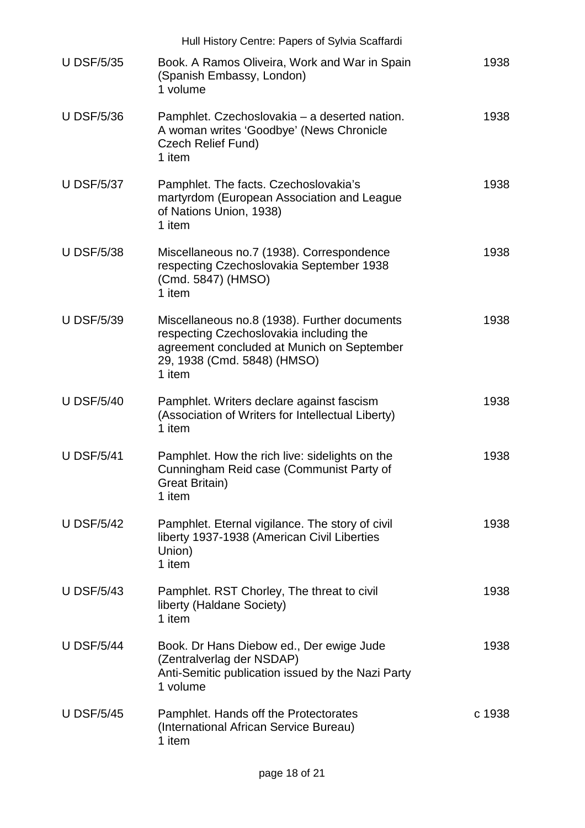|                   | Hull History Centre: Papers of Sylvia Scaffardi                                                                                                                                |        |
|-------------------|--------------------------------------------------------------------------------------------------------------------------------------------------------------------------------|--------|
| <b>U DSF/5/35</b> | Book. A Ramos Oliveira, Work and War in Spain<br>(Spanish Embassy, London)<br>1 volume                                                                                         | 1938   |
| <b>U DSF/5/36</b> | Pamphlet. Czechoslovakia – a deserted nation.<br>A woman writes 'Goodbye' (News Chronicle<br>Czech Relief Fund)<br>1 item                                                      | 1938   |
| <b>U DSF/5/37</b> | Pamphlet. The facts. Czechoslovakia's<br>martyrdom (European Association and League<br>of Nations Union, 1938)<br>1 item                                                       | 1938   |
| <b>U DSF/5/38</b> | Miscellaneous no.7 (1938). Correspondence<br>respecting Czechoslovakia September 1938<br>(Cmd. 5847) (HMSO)<br>1 item                                                          | 1938   |
| <b>U DSF/5/39</b> | Miscellaneous no.8 (1938). Further documents<br>respecting Czechoslovakia including the<br>agreement concluded at Munich on September<br>29, 1938 (Cmd. 5848) (HMSO)<br>1 item | 1938   |
| <b>U DSF/5/40</b> | Pamphlet. Writers declare against fascism<br>(Association of Writers for Intellectual Liberty)<br>1 item                                                                       | 1938   |
| <b>U DSF/5/41</b> | Pamphlet. How the rich live: sidelights on the<br>Cunningham Reid case (Communist Party of<br>Great Britain)<br>1 item                                                         | 1938   |
| <b>U DSF/5/42</b> | Pamphlet. Eternal vigilance. The story of civil<br>liberty 1937-1938 (American Civil Liberties<br>Union)<br>1 item                                                             | 1938   |
| <b>U DSF/5/43</b> | Pamphlet. RST Chorley, The threat to civil<br>liberty (Haldane Society)<br>1 item                                                                                              | 1938   |
| <b>U DSF/5/44</b> | Book. Dr Hans Diebow ed., Der ewige Jude<br>(Zentralverlag der NSDAP)<br>Anti-Semitic publication issued by the Nazi Party<br>1 volume                                         | 1938   |
| <b>U DSF/5/45</b> | Pamphlet. Hands off the Protectorates<br>(International African Service Bureau)<br>1 item                                                                                      | c 1938 |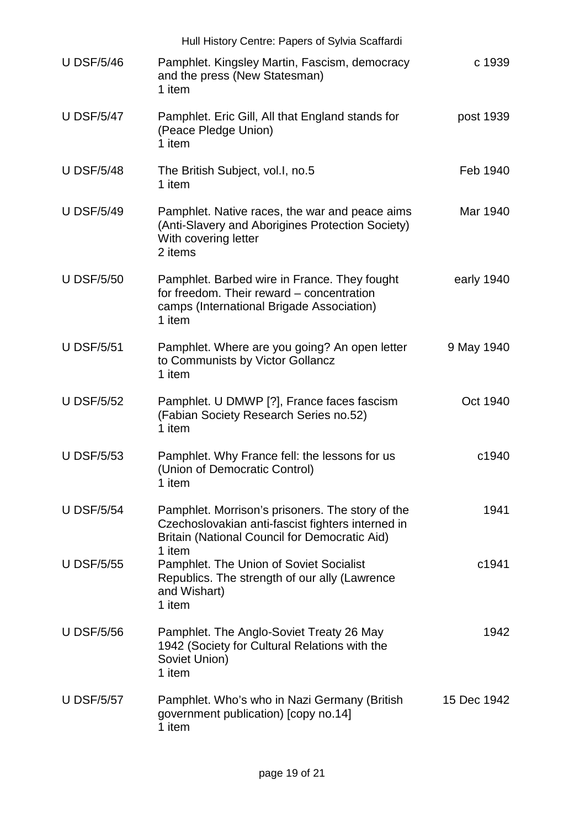|                   | Hull History Centre: Papers of Sylvia Scaffardi                                                                                                               |             |
|-------------------|---------------------------------------------------------------------------------------------------------------------------------------------------------------|-------------|
| <b>U DSF/5/46</b> | Pamphlet. Kingsley Martin, Fascism, democracy<br>and the press (New Statesman)<br>1 item                                                                      | c 1939      |
| <b>U DSF/5/47</b> | Pamphlet. Eric Gill, All that England stands for<br>(Peace Pledge Union)<br>1 item                                                                            | post 1939   |
| <b>U DSF/5/48</b> | The British Subject, vol.I, no.5<br>1 item                                                                                                                    | Feb 1940    |
| <b>U DSF/5/49</b> | Pamphlet. Native races, the war and peace aims<br>(Anti-Slavery and Aborigines Protection Society)<br>With covering letter<br>2 items                         | Mar 1940    |
| <b>U DSF/5/50</b> | Pamphlet. Barbed wire in France. They fought<br>for freedom. Their reward – concentration<br>camps (International Brigade Association)<br>1 item              | early 1940  |
| <b>U DSF/5/51</b> | Pamphlet. Where are you going? An open letter<br>to Communists by Victor Gollancz<br>1 item                                                                   | 9 May 1940  |
| <b>U DSF/5/52</b> | Pamphlet. U DMWP [?], France faces fascism<br>(Fabian Society Research Series no.52)<br>1 item                                                                | Oct 1940    |
| <b>U DSF/5/53</b> | Pamphlet. Why France fell: the lessons for us<br>(Union of Democratic Control)<br>1 item                                                                      | c1940       |
| <b>U DSF/5/54</b> | Pamphlet. Morrison's prisoners. The story of the<br>Czechoslovakian anti-fascist fighters interned in<br><b>Britain (National Council for Democratic Aid)</b> | 1941        |
| <b>U DSF/5/55</b> | 1 item<br>Pamphlet. The Union of Soviet Socialist<br>Republics. The strength of our ally (Lawrence<br>and Wishart)<br>1 item                                  | c1941       |
| <b>U DSF/5/56</b> | Pamphlet. The Anglo-Soviet Treaty 26 May<br>1942 (Society for Cultural Relations with the<br>Soviet Union)<br>1 item                                          | 1942        |
| <b>U DSF/5/57</b> | Pamphlet. Who's who in Nazi Germany (British<br>government publication) [copy no.14]<br>1 item                                                                | 15 Dec 1942 |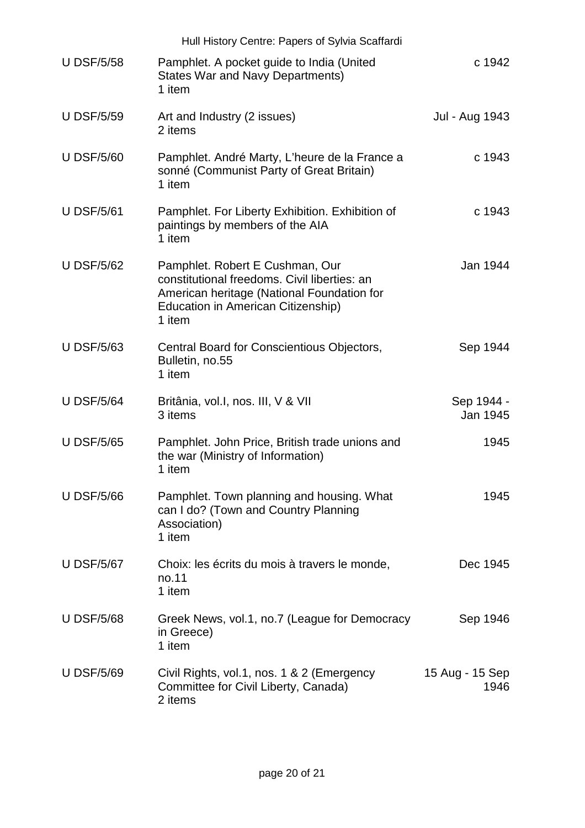|                   | Hull History Centre: Papers of Sylvia Scaffardi                                                                                                                               |                         |  |
|-------------------|-------------------------------------------------------------------------------------------------------------------------------------------------------------------------------|-------------------------|--|
| <b>U DSF/5/58</b> | Pamphlet. A pocket guide to India (United<br><b>States War and Navy Departments)</b><br>1 item                                                                                | c 1942                  |  |
| <b>U DSF/5/59</b> | Art and Industry (2 issues)<br>2 items                                                                                                                                        | Jul - Aug 1943          |  |
| <b>U DSF/5/60</b> | Pamphlet. André Marty, L'heure de la France a<br>sonné (Communist Party of Great Britain)<br>1 item                                                                           | c 1943                  |  |
| <b>U DSF/5/61</b> | Pamphlet. For Liberty Exhibition. Exhibition of<br>paintings by members of the AIA<br>1 item                                                                                  | c 1943                  |  |
| <b>U DSF/5/62</b> | Pamphlet. Robert E Cushman, Our<br>constitutional freedoms. Civil liberties: an<br>American heritage (National Foundation for<br>Education in American Citizenship)<br>1 item | Jan 1944                |  |
| <b>U DSF/5/63</b> | Central Board for Conscientious Objectors,<br>Bulletin, no.55<br>1 item                                                                                                       | Sep 1944                |  |
| <b>U DSF/5/64</b> | Britânia, vol.I, nos. III, V & VII<br>3 items                                                                                                                                 | Sep 1944 -<br>Jan 1945  |  |
| <b>U DSF/5/65</b> | Pamphlet. John Price, British trade unions and<br>the war (Ministry of Information)<br>1 item                                                                                 | 1945                    |  |
| <b>U DSF/5/66</b> | Pamphlet. Town planning and housing. What<br>can I do? (Town and Country Planning<br>Association)<br>1 item                                                                   | 1945                    |  |
| <b>U DSF/5/67</b> | Choix: les écrits du mois à travers le monde,<br>no.11<br>1 item                                                                                                              | Dec 1945                |  |
| <b>U DSF/5/68</b> | Greek News, vol.1, no.7 (League for Democracy<br>in Greece)<br>1 item                                                                                                         | Sep 1946                |  |
| <b>U DSF/5/69</b> | Civil Rights, vol.1, nos. 1 & 2 (Emergency<br>Committee for Civil Liberty, Canada)<br>2 items                                                                                 | 15 Aug - 15 Sep<br>1946 |  |